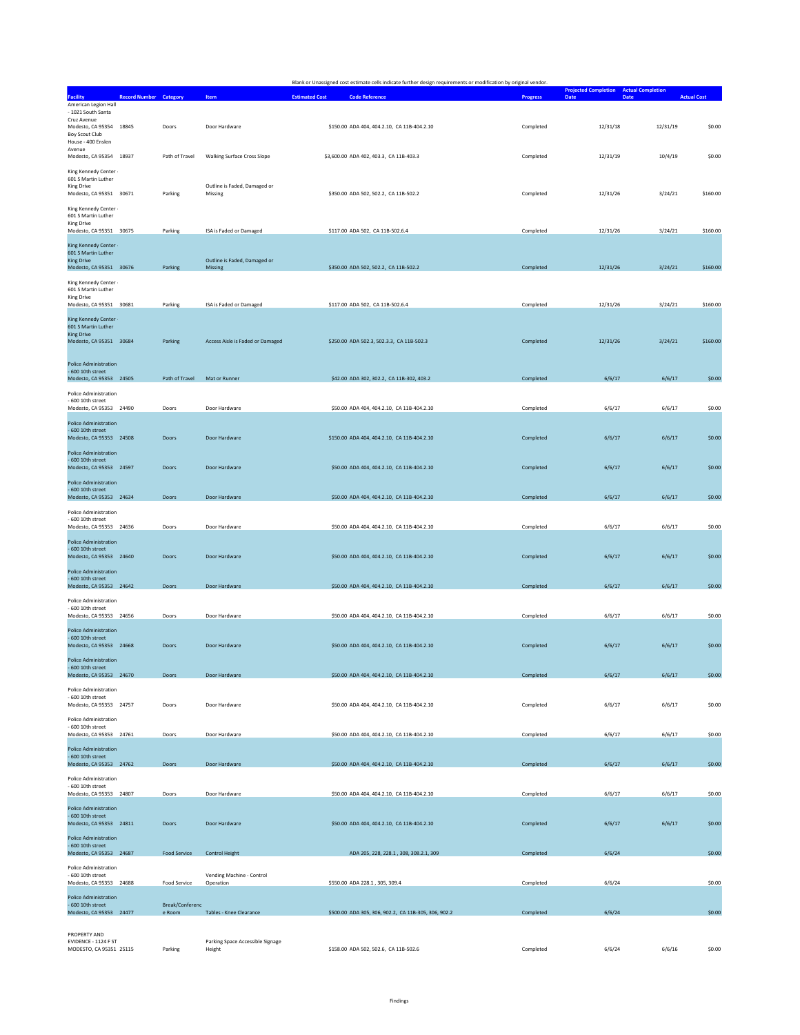|                                                                                |                               |                           |                                            | Blank or Unassigned cost estimate cells indicate further design requirements or modification by original vendor. |                 |                                                               |                    |
|--------------------------------------------------------------------------------|-------------------------------|---------------------------|--------------------------------------------|------------------------------------------------------------------------------------------------------------------|-----------------|---------------------------------------------------------------|--------------------|
| <b>Facility</b>                                                                | <b>Record Number Category</b> |                           | Item                                       | <b>Estimated Cost</b><br><b>Code Reference</b>                                                                   | <b>Progress</b> | <b>Projected Completion Actual Completion</b><br>Date<br>Date | <b>Actual Cost</b> |
| American Legion Hall<br>- 1021 South Santa                                     |                               |                           |                                            |                                                                                                                  |                 |                                                               |                    |
| Cruz Avenue<br>Modesto, CA 95354 18845<br>Boy Scout Club<br>House - 400 Enslen |                               | Doors                     | Door Hardware                              | \$150.00 ADA 404, 404.2.10, CA 11B-404.2.10                                                                      | Completed       | 12/31/19<br>12/31/18                                          | \$0.00             |
| Avenue<br>Modesto, CA 95354 18937                                              |                               | Path of Travel            | <b>Walking Surface Cross Slope</b>         | \$3,600.00 ADA 402, 403.3, CA 11B-403.3                                                                          | Completed       | 12/31/19<br>10/4/19                                           | \$0.00             |
| King Kennedy Center -<br>601 S Martin Luther<br><b>King Drive</b>              |                               |                           | Outline is Faded, Damaged or               |                                                                                                                  |                 |                                                               |                    |
| Modesto, CA 95351 30671<br>King Kennedy Center -                               |                               | Parking                   | Missing                                    | \$350.00 ADA 502, 502.2, CA 11B-502.2                                                                            | Completed       | 12/31/26<br>3/24/21                                           | \$160.00           |
| 601 S Martin Luther<br><b>King Drive</b><br>Modesto, CA 95351 30675            |                               | Parking                   | ISA is Faded or Damaged                    | \$117.00 ADA 502, CA 11B-502.6.4                                                                                 | Completed       | 12/31/26<br>3/24/21                                           | \$160.00           |
| King Kennedy Center -<br>601 S Martin Luther<br><b>King Drive</b>              |                               |                           | Outline is Faded, Damaged or               |                                                                                                                  |                 |                                                               |                    |
| Modesto, CA 95351 30676                                                        |                               | Parking                   | Missing                                    | \$350.00 ADA 502, 502.2, CA 11B-502.2                                                                            | Completed       | 12/31/26<br>3/24/21                                           | \$160.00           |
| King Kennedy Center -<br>601 S Martin Luther<br><b>King Drive</b>              |                               |                           |                                            |                                                                                                                  |                 |                                                               |                    |
| Modesto, CA 95351 30681<br>King Kennedy Center -                               |                               | Parking                   | ISA is Faded or Damaged                    | \$117.00 ADA 502, CA 11B-502.6.4                                                                                 | Completed       | 12/31/26<br>3/24/21                                           | \$160.00           |
| 601 S Martin Luther<br><b>King Drive</b><br>Modesto, CA 95351 30684            |                               | Parking                   | Access Aisle is Faded or Damaged           | \$250.00 ADA 502.3, 502.3.3, CA 11B-502.3                                                                        | Completed       | 12/31/26<br>3/24/21                                           | \$160.00           |
| Police Administration<br>600 10th street<br>Modesto, CA 95353 24505            |                               | Path of Travel            | Mat or Runner                              | \$42.00 ADA 302, 302.2, CA 11B-302, 403.2                                                                        | Completed       | 6/6/17<br>6/6/17                                              | \$0.00             |
| Police Administration                                                          |                               |                           |                                            |                                                                                                                  |                 |                                                               |                    |
| 600 10th street<br>Modesto, CA 95353 24490                                     |                               | Doors                     | Door Hardware                              | \$50.00 ADA 404, 404.2.10, CA 11B-404.2.10                                                                       | Completed       | 6/6/17<br>6/6/17                                              | \$0.00             |
| <b>Police Administration</b><br>- 600 10th street<br>Modesto, CA 95353 24508   |                               | Doors                     | Door Hardware                              | \$150.00 ADA 404, 404.2.10, CA 11B-404.2.10                                                                      | Completed       | 6/6/17<br>6/6/17                                              | \$0.00             |
| <b>Police Administration</b><br>- 600 10th street<br>Modesto, CA 95353 24597   |                               | Doors                     | Door Hardware                              | \$50.00 ADA 404, 404.2.10, CA 11B-404.2.10                                                                       | Completed       | 6/6/17<br>6/6/17                                              | \$0.00             |
| <b>Police Administration</b><br>- 600 10th street<br>Modesto, CA 95353 24634   |                               | Doors                     | Door Hardware                              | \$50.00 ADA 404, 404.2.10, CA 11B-404.2.10                                                                       | Completed       | 6/6/17<br>6/6/17                                              | \$0.00             |
| Police Administration<br>- 600 10th street<br>Modesto, CA 95353 24636          |                               | Doors                     | Door Hardware                              | \$50.00 ADA 404, 404.2.10, CA 11B-404.2.10                                                                       | Completed       | 6/6/17<br>6/6/17                                              | \$0.00             |
| Police Administration<br>- 600 10th street<br>Modesto, CA 95353 24640          |                               | <b>Doors</b>              | Door Hardware                              | \$50.00 ADA 404, 404.2.10, CA 11B-404.2.10                                                                       | Completed       | 6/6/17<br>6/6/17                                              | \$0.00             |
| Police Administration<br>600 10th street                                       |                               |                           |                                            |                                                                                                                  |                 |                                                               |                    |
| Modesto, CA 95353 24642<br>Police Administration                               |                               | Doors                     | Door Hardware                              | \$50.00 ADA 404, 404.2.10, CA 11B-404.2.10                                                                       | Completed       | 6/6/17<br>6/6/17                                              | \$0.00             |
| 600 10th street<br>Modesto, CA 95353 24656                                     |                               | Doors                     | Door Hardware                              | \$50.00 ADA 404, 404.2.10, CA 11B-404.2.10                                                                       | Completed       | 6/6/17<br>6/6/17                                              | \$0.00             |
| Police Administration<br>600 10th street<br>Modesto, CA 95353 24668            |                               | Doors                     | Door Hardware                              | \$50.00 ADA 404, 404.2.10, CA 11B-404.2.10                                                                       | Completed       | 6/6/17<br>6/6/17                                              | \$0.00             |
| Police Administration<br>600 10th street<br>Modesto, CA 95353 24670            |                               | Doors                     | Door Hardware                              | \$50.00 ADA 404, 404.2.10, CA 11B-404.2.10                                                                       | Completed       | 6/6/17<br>6/6/17                                              | \$0.00             |
| Police Administration<br>- 600 10th street                                     |                               |                           |                                            |                                                                                                                  |                 |                                                               |                    |
| Modesto, CA 95353 24757<br>Police Administration                               |                               | Doors                     | Door Hardware                              | \$50.00 ADA 404, 404.2.10, CA 11B-404.2.10                                                                       | Completed       | 6/6/17<br>6/6/17                                              | \$0.00             |
| - 600 10th street<br>Modesto, CA 95353 24761                                   |                               | Doors                     | Door Hardware                              | \$50.00 ADA 404, 404.2.10, CA 11B-404.2.10                                                                       | Completed       | 6/6/17<br>6/6/17                                              | \$0.00             |
| Police Administration<br>- 600 10th street<br>Modesto, CA 95353 24762          |                               | Doors                     | Door Hardware                              | \$50.00 ADA 404, 404.2.10, CA 11B-404.2.10                                                                       | Completed       | 6/6/17<br>6/6/17                                              | \$0.00             |
| Police Administration<br>- 600 10th street<br>Modesto, CA 95353 24807          |                               | Doors                     | Door Hardware                              | \$50.00 ADA 404, 404.2.10, CA 11B-404.2.10                                                                       | Completed       | 6/6/17<br>6/6/17                                              | \$0.00             |
| Police Administration<br>$-600$ 10th street                                    |                               |                           |                                            |                                                                                                                  |                 |                                                               |                    |
| Modesto, CA 95353 24811<br>Police Administration                               |                               | Doors                     | Door Hardware                              | \$50.00 ADA 404, 404.2.10, CA 11B-404.2.10                                                                       | Completed       | 6/6/17<br>6/6/17                                              | \$0.00             |
| - 600 10th street<br>Modesto, CA 95353 24687<br>Police Administration          |                               | <b>Food Service</b>       | <b>Control Height</b>                      | ADA 205, 228, 228.1, 308, 308.2.1, 309                                                                           | Completed       | 6/6/24                                                        | \$0.00             |
| 600 10th street<br>Modesto, CA 95353 24688                                     |                               | Food Service              | Vending Machine - Control<br>Operation     | \$550.00 ADA 228.1, 305, 309.4                                                                                   | Completed       | 6/6/24                                                        | \$0.00             |
| <b>Police Administration</b><br>- 600 10th street<br>Modesto, CA 95353 24477   |                               | Break/Conferenc<br>e Room | Tables - Knee Clearance                    | \$500.00 ADA 305, 306, 902.2, CA 11B-305, 306, 902.2                                                             | Completed       | 6/6/24                                                        | \$0.00             |
| PROPERTY AND                                                                   |                               |                           |                                            |                                                                                                                  |                 |                                                               |                    |
| EVIDENCE - 1124 F ST<br>MODESTO, CA 95351 25115                                |                               | Parking                   | Parking Space Accessible Signage<br>Height | \$158.00 ADA 502, 502.6, CA 11B-502.6                                                                            | Completed       | 6/6/24<br>6/6/16                                              | \$0.00             |